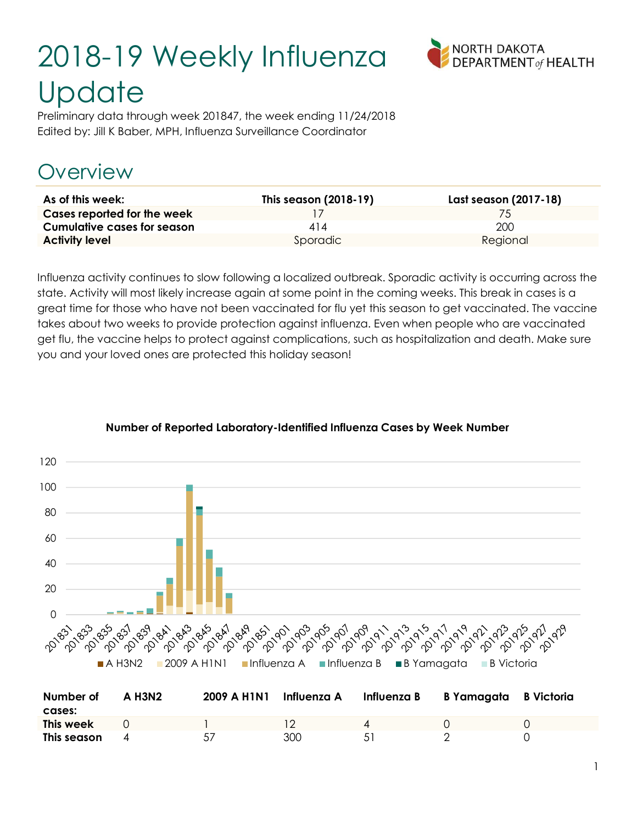# 2018-19 Weekly Influenza **Update**



Preliminary data through week 201847, the week ending 11/24/2018 Edited by: Jill K Baber, MPH, Influenza Surveillance Coordinator

### Overview

| As of this week:                   | This season (2018-19) | Last season (2017-18) |
|------------------------------------|-----------------------|-----------------------|
| Cases reported for the week        |                       | /5                    |
| <b>Cumulative cases for season</b> | 414                   | 200                   |
| <b>Activity level</b>              | Sporadic              | Regional              |

Influenza activity continues to slow following a localized outbreak. Sporadic activity is occurring across the state. Activity will most likely increase again at some point in the coming weeks. This break in cases is a great time for those who have not been vaccinated for flu yet this season to get vaccinated. The vaccine takes about two weeks to provide protection against influenza. Even when people who are vaccinated get flu, the vaccine helps to protect against complications, such as hospitalization and death. Make sure you and your loved ones are protected this holiday season!



#### Number of Reported Laboratory-Identified Influenza Cases by Week Number

| Number of   | A H3N2 | 2009 A H1N1 | Influenza A | Influenza B | B Yamagata B Victoria |  |
|-------------|--------|-------------|-------------|-------------|-----------------------|--|
| cases:      |        |             |             |             |                       |  |
| This week   |        |             |             |             |                       |  |
| This season |        | 57          | 300         |             |                       |  |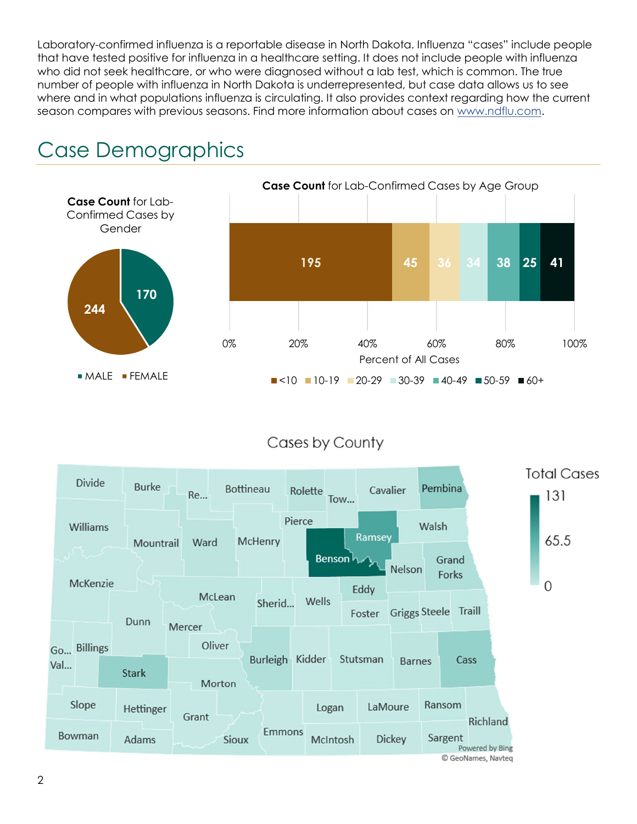Laboratory-confirmed influenza is a reportable disease in North Dakota. Influenza "cases" include people that have tested positive for influenza in a healthcare setting. It does not include people with influenza who did not seek healthcare, or who were diagnosed without a lab test, which is common. The true number of people with influenza in North Dakota is underrepresented, but case data allows us to see where and in what populations influenza is circulating. It also provides context regarding how the current season compares with previous seasons. Find more information about cases on www.ndflu.com.



### Case Demographics

#### Cases by County

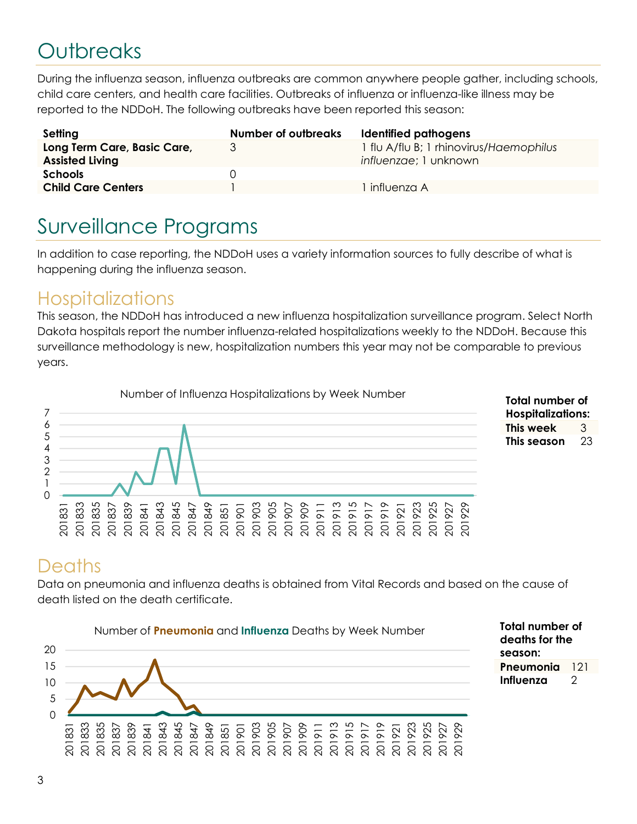## **Outbreaks**

During the influenza season, influenza outbreaks are common anywhere people gather, including schools, child care centers, and health care facilities. Outbreaks of influenza or influenza-like illness may be reported to the NDDoH. The following outbreaks have been reported this season:

| Setting                                               | <b>Number of outbreaks</b> | Identified pathogens                                             |
|-------------------------------------------------------|----------------------------|------------------------------------------------------------------|
| Long Term Care, Basic Care,<br><b>Assisted Living</b> | 3                          | 1 flu A/flu B; 1 rhinovirus/Haemophilus<br>influenzae; 1 unknown |
| <b>Schools</b>                                        | $\Box$                     |                                                                  |
| <b>Child Care Centers</b>                             |                            | influenza A                                                      |

### Surveillance Programs

In addition to case reporting, the NDDoH uses a variety information sources to fully describe of what is happening during the influenza season.

#### **Hospitalizations**

This season, the NDDoH has introduced a new influenza hospitalization surveillance program. Select North Dakota hospitals report the number influenza-related hospitalizations weekly to the NDDoH. Because this surveillance methodology is new, hospitalization numbers this year may not be comparable to previous years.





Total number of deaths for the season:

Pneumonia 121 Influenza 2

### **Deaths**

Data on pneumonia and influenza deaths is obtained from Vital Records and based on the cause of death listed on the death certificate.

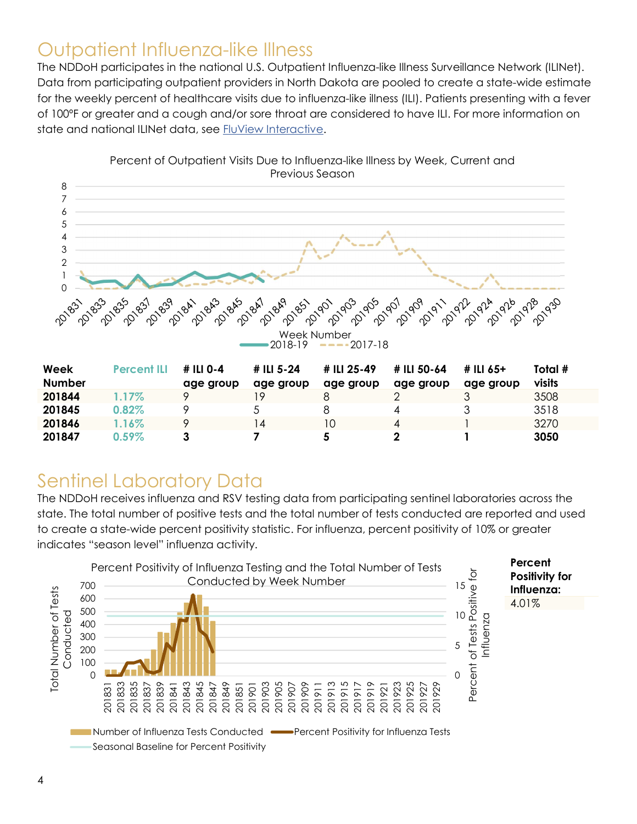### Outpatient Influenza-like Illness

The NDDoH participates in the national U.S. Outpatient Influenza-like Illness Surveillance Network (ILINet). Data from participating outpatient providers in North Dakota are pooled to create a state-wide estimate for the weekly percent of healthcare visits due to influenza-like illness (ILI). Patients presenting with a fever of 100ºF or greater and a cough and/or sore throat are considered to have ILI. For more information on state and national ILINet data, see FluView Interactive.



**201845** 0.82% 9 5 8 4 3 3518 **201846** 1.16% 9 14 10 4 1 3270 201847 0.59% 3 7 5 2 1 3050

Percent of Outpatient Visits Due to Influenza-like Illness by Week, Current and Previous Season

## Sentinel Laboratory Data

The NDDoH receives influenza and RSV testing data from participating sentinel laboratories across the state. The total number of positive tests and the total number of tests conducted are reported and used to create a state-wide percent positivity statistic. For influenza, percent positivity of 10% or greater indicates "season level" influenza activity.

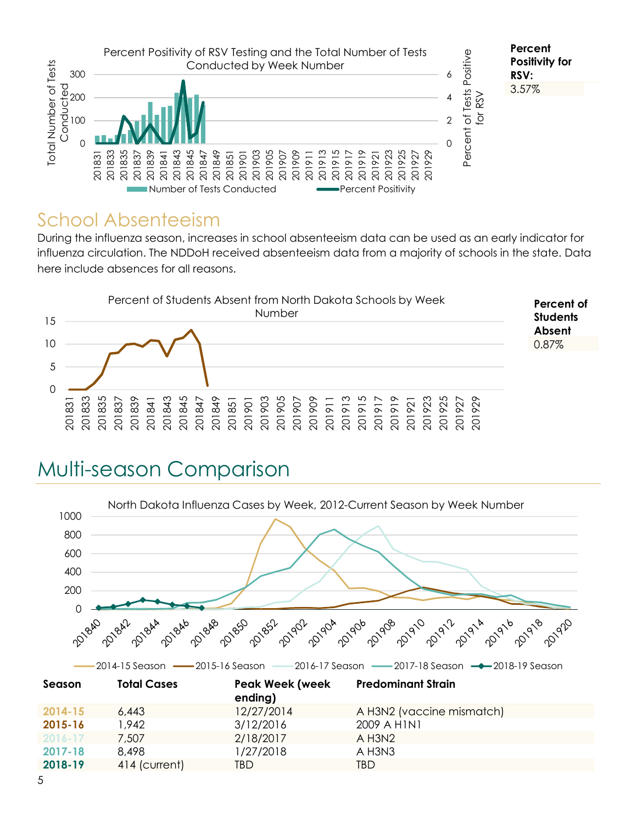

#### School Absenteeism

During the influenza season, increases in school absenteeism data can be used as an early indicator for influenza circulation. The NDDoH received absenteeism data from a majority of schools in the state. Data here include absences for all reasons.



### Multi-season Comparison